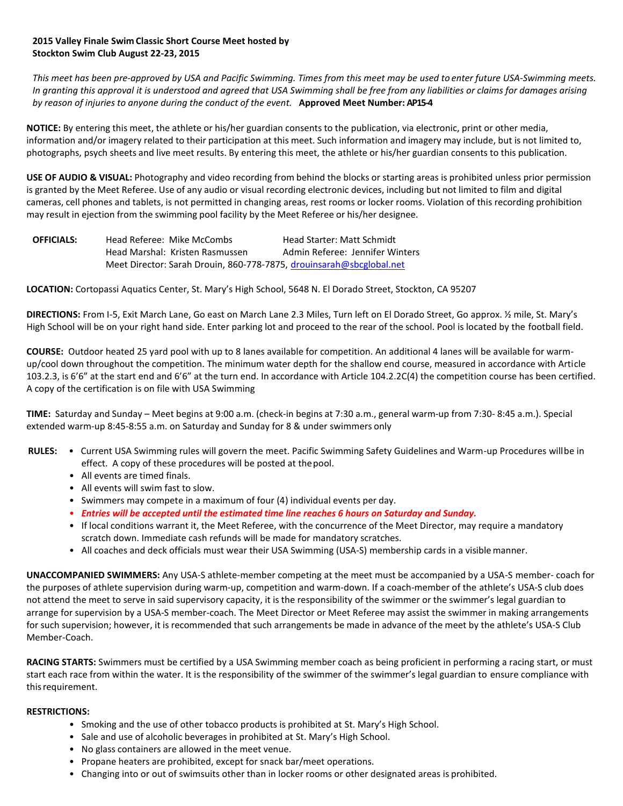## **2015 Valley Finale Swim Classic Short Course Meet hosted by Stockton Swim Club August 22-23, 2015**

*This meet has been pre‐approved by USA and Pacific Swimming. Times from this meet may be used to enter future USA‐Swimming meets. In granting this approval it is understood and agreed that USA Swimming shall be free from any liabilities or claims for damages arising by reason of injuries to anyone during the conduct of the event.* **Approved Meet Number: AP15-4**

**NOTICE:** By entering this meet, the athlete or his/her guardian consents to the publication, via electronic, print or other media, information and/or imagery related to their participation at this meet. Such information and imagery may include, but is not limited to, photographs, psych sheets and live meet results. By entering this meet, the athlete or his/her guardian consents to this publication.

**USE OF AUDIO & VISUAL:** Photography and video recording from behind the blocks or starting areas is prohibited unless prior permission is granted by the Meet Referee. Use of any audio or visual recording electronic devices, including but not limited to film and digital cameras, cell phones and tablets, is not permitted in changing areas, rest rooms or locker rooms. Violation of this recording prohibition may result in ejection from the swimming pool facility by the Meet Referee or his/her designee.

| <b>OFFICIALS:</b> | Head Referee: Mike McCombs                                           | Head Starter: Matt Schmidt      |
|-------------------|----------------------------------------------------------------------|---------------------------------|
|                   | Head Marshal: Kristen Rasmussen                                      | Admin Referee: Jennifer Winters |
|                   | Meet Director: Sarah Drouin, 860-778-7875, drouinsarah@sbcglobal.net |                                 |

**LOCATION:** Cortopassi Aquatics Center, St. Mary's High School, 5648 N. El Dorado Street, Stockton, CA 95207

**DIRECTIONS:** From I-5, Exit March Lane, Go east on March Lane 2.3 Miles, Turn left on El Dorado Street, Go approx. ½ mile, St. Mary's High School will be on your right hand side. Enter parking lot and proceed to the rear of the school. Pool is located by the football field.

**COURSE:** Outdoor heated 25 yard pool with up to 8 lanes available for competition. An additional 4 lanes will be available for warmup/cool down throughout the competition. The minimum water depth for the shallow end course, measured in accordance with Article 103.2.3, is 6'6" at the start end and 6'6" at the turn end. In accordance with Article 104.2.2C(4) the competition course has been certified. A copy of the certification is on file with USA Swimming

**TIME:** Saturday and Sunday – Meet begins at 9:00 a.m. (check‐in begins at 7:30 a.m., general warm‐up from 7:30‐ 8:45 a.m.). Special extended warm‐up 8:45‐8:55 a.m. on Saturday and Sunday for 8 & under swimmers only

- **RULES:**  Current USA Swimming rules will govern the meet. Pacific Swimming Safety Guidelines and Warm‐up Procedures willbe in effect. A copy of these procedures will be posted at thepool.
	- All events are timed finals.
	- All events will swim fast to slow.
	- Swimmers may compete in a maximum of four (4) individual events per day.
	- *Entries will be accepted until the estimated time line reaches 6 hours on Saturday and Sunday.*
	- If local conditions warrant it, the Meet Referee, with the concurrence of the Meet Director, may require a mandatory scratch down. Immediate cash refunds will be made for mandatory scratches.
	- All coaches and deck officials must wear their USA Swimming (USA‐S) membership cards in a visiblemanner.

**UNACCOMPANIED SWIMMERS:** Any USA‐S athlete‐member competing at the meet must be accompanied by a USA‐S member‐ coach for the purposes of athlete supervision during warm‐up, competition and warm‐down. If a coach‐member of the athlete's USA‐S club does not attend the meet to serve in said supervisory capacity, it is the responsibility of the swimmer or the swimmer's legal guardian to arrange for supervision by a USA‐S member‐coach. The Meet Director or Meet Referee may assist the swimmer in making arrangements for such supervision; however, it is recommended that such arrangements be made in advance of the meet by the athlete's USA‐S Club Member‐Coach.

**RACING STARTS:** Swimmers must be certified by a USA Swimming member coach as being proficient in performing a racing start, or must start each race from within the water. It is the responsibility of the swimmer of the swimmer's legal guardian to ensure compliance with thisrequirement.

### **RESTRICTIONS:**

- Smoking and the use of other tobacco products is prohibited at St. Mary's High School.
- Sale and use of alcoholic beverages in prohibited at St. Mary's High School.
- No glass containers are allowed in the meet venue.
- Propane heaters are prohibited, except for snack bar/meet operations.
- Changing into or out of swimsuits other than in locker rooms or other designated areas is prohibited.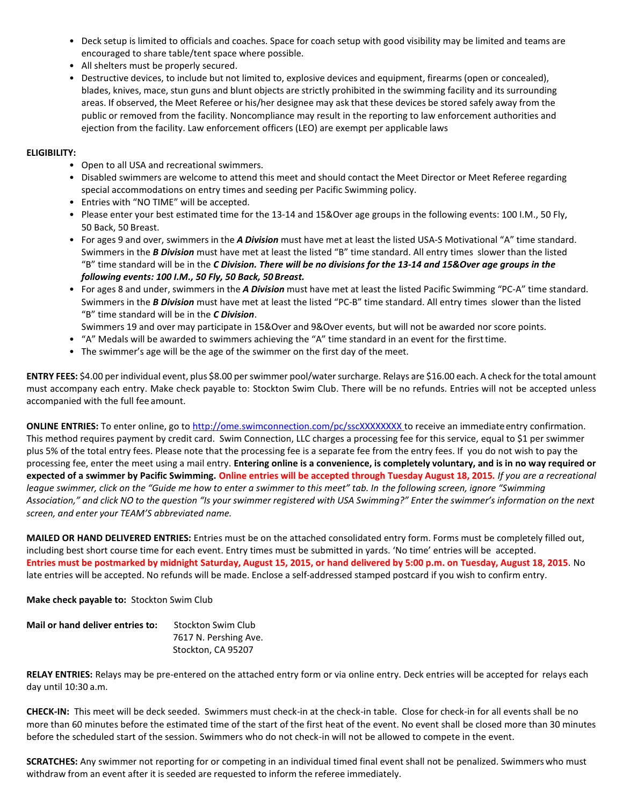- Deck setup is limited to officials and coaches. Space for coach setup with good visibility may be limited and teams are encouraged to share table/tent space where possible.
- All shelters must be properly secured.
- Destructive devices, to include but not limited to, explosive devices and equipment, firearms (open or concealed), blades, knives, mace, stun guns and blunt objects are strictly prohibited in the swimming facility and its surrounding areas. If observed, the Meet Referee or his/her designee may ask that these devices be stored safely away from the public or removed from the facility. Noncompliance may result in the reporting to law enforcement authorities and ejection from the facility. Law enforcement officers (LEO) are exempt per applicable laws

#### **ELIGIBILITY:**

- Open to all USA and recreational swimmers.
- Disabled swimmers are welcome to attend this meet and should contact the Meet Director or Meet Referee regarding special accommodations on entry times and seeding per Pacific Swimming policy.
- Entries with "NO TIME" will be accepted.
- Please enter your best estimated time for the 13‐14 and 15&Over age groups in the following events: 100 I.M., 50 Fly, 50 Back, 50 Breast.
- For ages 9 and over, swimmers in the *A Division* must have met at least the listed USA‐S Motivational "A" time standard. Swimmers in the *B Division* must have met at least the listed "B" time standard. All entry times slower than the listed "B" time standard will be in the *C Division. There will be no divisions for the 13‐14 and 15&Over age groups in the following events: 100 I.M., 50 Fly, 50 Back, 50 Breast.*
- For ages 8 and under, swimmers in the *A Division* must have met at least the listed Pacific Swimming "PC‐A" time standard. Swimmers in the *B Division* must have met at least the listed "PC‐B" time standard. All entry times slower than the listed "B" time standard will be in the *C Division*.

Swimmers 19 and over may participate in 15&Over and 9&Over events, but will not be awarded nor score points.

- "A" Medals will be awarded to swimmers achieving the "A" time standard in an event for the firsttime.
- The swimmer's age will be the age of the swimmer on the first day of the meet.

**ENTRY FEES:** \$4.00 per individual event, plus \$8.00 per swimmer pool/water surcharge. Relays are \$16.00 each. A check for the total amount must accompany each entry. Make check payable to: Stockton Swim Club. There will be no refunds. Entries will not be accepted unless accompanied with the full fee amount.

**ONLINE ENTRIES:** To enter online, go to [http://ome.swimconnection.com/pc/sscXXXXXXXX t](http://ome.swimconnection.com/pc/sscXXXXXXXX)o receive an immediateentry confirmation. This method requires payment by credit card. Swim Connection, LLC charges a processing fee for this service, equal to \$1 per swimmer plus 5% of the total entry fees. Please note that the processing fee is a separate fee from the entry fees. If you do not wish to pay the processing fee, enter the meet using a mail entry. **Entering online is a convenience, is completely voluntary, and is in no way required or expected of a swimmer by Pacific Swimming. Online entries will be accepted through Tuesday August 18, 2015***. If you are a recreational league swimmer, click on the "Guide me how to enter a swimmer to this meet" tab. In the following screen, ignore "Swimming* Association," and click NO to the question "Is your swimmer registered with USA Swimming?" Enter the swimmer's information on the next *screen, and enter your TEAM'S abbreviated name.*

**MAILED OR HAND DELIVERED ENTRIES:** Entries must be on the attached consolidated entry form. Forms must be completely filled out, including best short course time for each event. Entry times must be submitted in yards. 'No time' entries will be accepted. **Entries must be postmarked by midnight Saturday, August 15, 2015, or hand delivered by 5:00 p.m. on Tuesday, August 18, 2015**. No late entries will be accepted. No refunds will be made. Enclose a self-addressed stamped postcard if you wish to confirm entry.

**Make check payable to:** Stockton Swim Club

| Mail or hand deliver entries to: | Stockton Swim Club    |  |  |
|----------------------------------|-----------------------|--|--|
|                                  | 7617 N. Pershing Ave. |  |  |
|                                  | Stockton, CA 95207    |  |  |

**RELAY ENTRIES:** Relays may be pre‐entered on the attached entry form or via online entry. Deck entries will be accepted for relays each day until 10:30 a.m.

**CHECK‐IN:** This meet will be deck seeded. Swimmers must check‐in at the check‐in table. Close for check‐in for all events shall be no more than 60 minutes before the estimated time of the start of the first heat of the event. No event shall be closed more than 30 minutes before the scheduled start of the session. Swimmers who do not check‐in will not be allowed to compete in the event.

**SCRATCHES:** Any swimmer not reporting for or competing in an individual timed final event shall not be penalized. Swimmers who must withdraw from an event after it is seeded are requested to inform the referee immediately.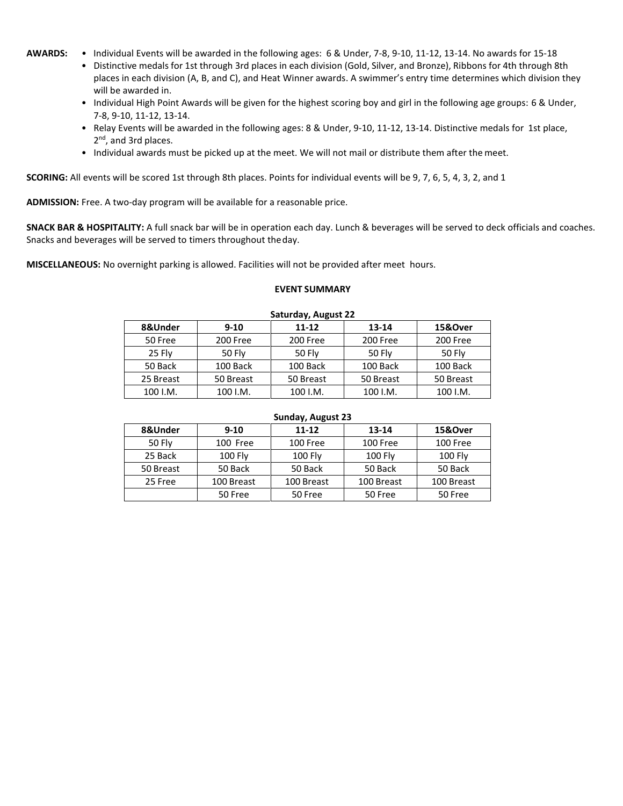- **AWARDS:**  Individual Events will be awarded in the following ages: 6 & Under, 7-8, 9-10, 11-12, 13-14. No awards for 15-18
	- Distinctive medals for 1st through 3rd places in each division (Gold, Silver, and Bronze), Ribbons for 4th through 8th places in each division (A, B, and C), and Heat Winner awards. A swimmer's entry time determines which division they will be awarded in.
	- Individual High Point Awards will be given for the highest scoring boy and girl in the following age groups: 6 & Under, 7-8, 9-10, 11-12, 13-14.
	- Relay Events will be awarded in the following ages: 8 & Under, 9‐10, 11‐12, 13‐14. Distinctive medals for 1st place, 2<sup>nd</sup>, and 3rd places.
	- Individual awards must be picked up at the meet. We will not mail or distribute them after the meet.

**SCORING:** All events will be scored 1st through 8th places. Points for individual events will be 9, 7, 6, 5, 4, 3, 2, and 1

ADMISSION: Free. A two-day program will be available for a reasonable price.

**SNACK BAR & HOSPITALITY:** A full snack bar will be in operation each day. Lunch & beverages will be served to deck officials and coaches. Snacks and beverages will be served to timers throughout theday.

**MISCELLANEOUS:** No overnight parking is allowed. Facilities will not be provided after meet hours.

#### **EVENT SUMMARY**

| Saturuay, August ZZ |               |               |           |               |  |  |  |  |
|---------------------|---------------|---------------|-----------|---------------|--|--|--|--|
| 8&Under             | $9 - 10$      | 11-12         | 13-14     | 15&Over       |  |  |  |  |
| 50 Free             | 200 Free      | 200 Free      | 200 Free  | 200 Free      |  |  |  |  |
| 25 Fly              | <b>50 Fly</b> | <b>50 Fly</b> | 50 Fly    | <b>50 Fly</b> |  |  |  |  |
| 50 Back             | 100 Back      | 100 Back      | 100 Back  | 100 Back      |  |  |  |  |
| 25 Breast           | 50 Breast     | 50 Breast     | 50 Breast | 50 Breast     |  |  |  |  |
| 100 I.M.            | 100 I.M.      | 100 I.M.      | 100 I.M.  | 100 I.M.      |  |  |  |  |

### **Saturday, August 22**

#### **Sunday, August 23**

| 8&Under       | $9 - 10$       | 11-12          | 13-14          | 15&Over        |  |  |
|---------------|----------------|----------------|----------------|----------------|--|--|
| <b>50 Flv</b> | 100 Free       | 100 Free       | 100 Free       | 100 Free       |  |  |
| 25 Back       | <b>100 Fly</b> | <b>100 Fly</b> | <b>100 Fly</b> | <b>100 Fly</b> |  |  |
| 50 Breast     | 50 Back        | 50 Back        | 50 Back        | 50 Back        |  |  |
| 25 Free       | 100 Breast     | 100 Breast     | 100 Breast     | 100 Breast     |  |  |
|               | 50 Free        | 50 Free        | 50 Free        | 50 Free        |  |  |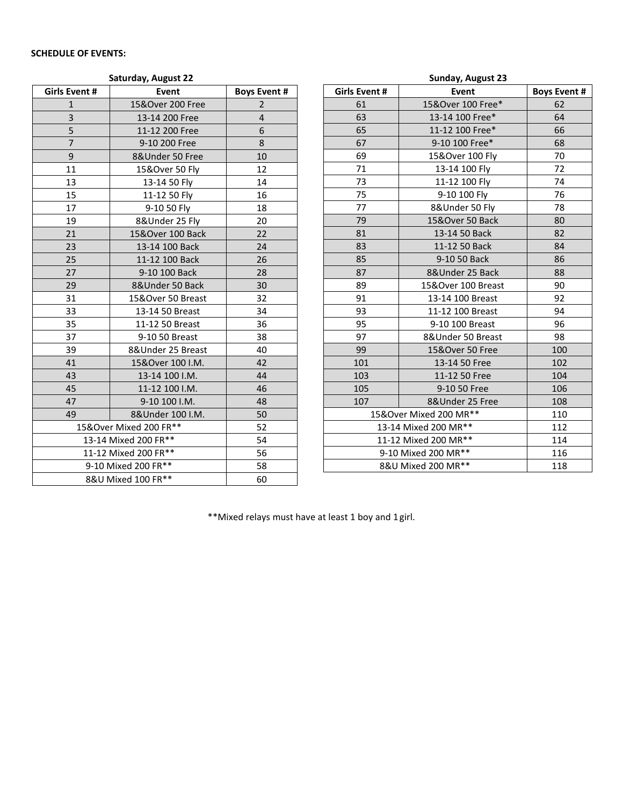# **SCHEDULE OF EVENTS:**

|                      | Saturday, August 22    |                     | Sunday, August 23 |                           |                    |                     |  |
|----------------------|------------------------|---------------------|-------------------|---------------------------|--------------------|---------------------|--|
| Girls Event #        | Event                  | <b>Boys Event #</b> |                   | Girls Event #             | Event              | <b>Boys Event #</b> |  |
| $\mathbf{1}$         | 15&Over 200 Free       | $\overline{2}$      |                   | 61                        | 15&Over 100 Free*  | 62                  |  |
| 3                    | 13-14 200 Free         | 4                   |                   | 63                        | 13-14 100 Free*    | 64                  |  |
| 5                    | 11-12 200 Free         | 6                   |                   | 65                        | 11-12 100 Free*    | 66                  |  |
| $\overline{7}$       | 9-10 200 Free          | 8                   |                   | 67                        | 9-10 100 Free*     | 68                  |  |
| $\boldsymbol{9}$     | 8&Under 50 Free        | 10                  |                   | 69                        | 15&Over 100 Fly    | 70                  |  |
| 11                   | 15&Over 50 Fly         | 12                  |                   | 71                        | 13-14 100 Fly      | 72                  |  |
| 13                   | 13-14 50 Fly           | 14                  |                   | 73                        | 11-12 100 Fly      | 74                  |  |
| 15                   | 11-12 50 Fly           | 16                  |                   | 75                        | 9-10 100 Fly       | 76                  |  |
| 17                   | 9-10 50 Fly            | 18                  |                   | 77                        | 8&Under 50 Fly     | 78                  |  |
| 19                   | 8&Under 25 Fly         | 20                  |                   | 79                        | 15&Over 50 Back    | 80                  |  |
| 21                   | 15&Over 100 Back       | 22                  |                   | 81                        | 13-14 50 Back      | 82                  |  |
| 23                   | 13-14 100 Back         | 24                  |                   | 83                        | 11-12 50 Back      | 84                  |  |
| 25                   | 11-12 100 Back         | 26                  |                   | 85                        | 9-10 50 Back       | 86                  |  |
| 27                   | 9-10 100 Back          | 28                  |                   | 87                        | 8&Under 25 Back    | 88                  |  |
| 29                   | 8&Under 50 Back        | 30                  |                   | 89                        | 15&Over 100 Breast | 90                  |  |
| 31                   | 15&Over 50 Breast      | 32                  |                   | 91                        | 13-14 100 Breast   | 92                  |  |
| 33                   | 13-14 50 Breast        | 34                  |                   | 93                        | 11-12 100 Breast   | 94                  |  |
| 35                   | 11-12 50 Breast        | 36                  |                   | 95                        | 9-10 100 Breast    | 96                  |  |
| 37                   | 9-10 50 Breast         | 38                  |                   | 97                        | 8&Under 50 Breast  | 98                  |  |
| 39                   | 8&Under 25 Breast      | 40                  |                   | 99                        | 15&Over 50 Free    | 100                 |  |
| 41                   | 15&Over 100 I.M.       | 42                  |                   | 101                       | 13-14 50 Free      | 102                 |  |
| 43                   | 13-14 100 I.M.         | 44                  |                   | 103                       | 11-12 50 Free      | 104                 |  |
| 45                   | 11-12 100 I.M.         | 46                  |                   | 105                       | 9-10 50 Free       | 106                 |  |
| 47                   | 9-10 100 I.M.          | 48                  |                   | 107                       | 8&Under 25 Free    | 108                 |  |
| 49                   | 8& Under 100 I.M.      | 50                  |                   | 15&Over Mixed 200 MR**    |                    | 110                 |  |
|                      | 15&Over Mixed 200 FR** |                     |                   | 13-14 Mixed 200 MR**      |                    | 112                 |  |
| 13-14 Mixed 200 FR** |                        | 54                  |                   | 11-12 Mixed 200 MR**      |                    | 114                 |  |
|                      | 11-12 Mixed 200 FR**   | 56                  |                   | 9-10 Mixed 200 MR**       |                    | 116                 |  |
|                      | 9-10 Mixed 200 FR**    | 58                  |                   | 8&U Mixed 200 MR**<br>118 |                    |                     |  |
|                      | 8&U Mixed 100 FR**     | 60                  |                   |                           |                    |                     |  |

\*\*Mixed relays must have at least 1 boy and 1girl.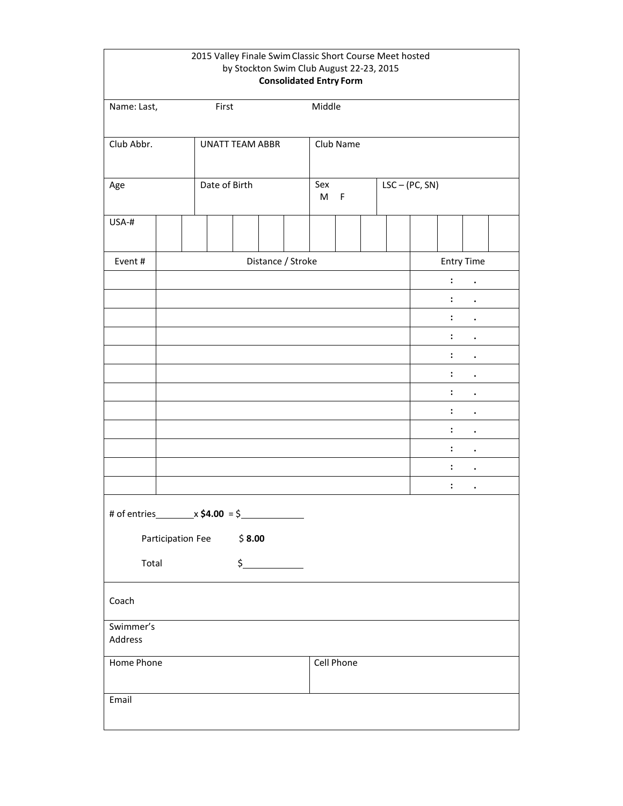|                      |                   |                        |        | 2015 Valley Finale Swim Classic Short Course Meet hosted<br>by Stockton Swim Club August 22-23, 2015 |          |             |  |                  |                      |                      |  |
|----------------------|-------------------|------------------------|--------|------------------------------------------------------------------------------------------------------|----------|-------------|--|------------------|----------------------|----------------------|--|
|                      |                   |                        |        | <b>Consolidated Entry Form</b>                                                                       |          |             |  |                  |                      |                      |  |
| Name: Last,          |                   | First                  |        |                                                                                                      | Middle   |             |  |                  |                      |                      |  |
|                      |                   |                        |        |                                                                                                      |          |             |  |                  |                      |                      |  |
| Club Abbr.           |                   | <b>UNATT TEAM ABBR</b> |        |                                                                                                      |          | Club Name   |  |                  |                      |                      |  |
|                      |                   |                        |        |                                                                                                      |          |             |  |                  |                      |                      |  |
| Age                  |                   | Date of Birth          |        |                                                                                                      | Sex<br>M | $\mathsf F$ |  | $LSC - (PC, SN)$ |                      |                      |  |
| USA-#                |                   |                        |        |                                                                                                      |          |             |  |                  |                      |                      |  |
| Event#               |                   |                        |        | Distance / Stroke                                                                                    |          |             |  |                  |                      | <b>Entry Time</b>    |  |
|                      |                   |                        |        |                                                                                                      |          |             |  |                  | $\ddot{\cdot}$       | $\ddot{\phantom{0}}$ |  |
|                      |                   |                        |        |                                                                                                      |          |             |  |                  | :                    |                      |  |
|                      |                   |                        |        |                                                                                                      |          |             |  |                  | :                    |                      |  |
|                      |                   |                        |        |                                                                                                      |          |             |  |                  | $\ddot{\phantom{a}}$ |                      |  |
|                      |                   |                        |        |                                                                                                      |          |             |  |                  | $\ddot{\phantom{a}}$ | $\ddot{\phantom{0}}$ |  |
|                      |                   |                        |        |                                                                                                      |          |             |  |                  | :                    | $\bullet$            |  |
|                      |                   |                        |        |                                                                                                      |          |             |  |                  | :                    | $\bullet$            |  |
|                      |                   |                        |        |                                                                                                      |          |             |  |                  | :                    |                      |  |
|                      |                   |                        |        |                                                                                                      |          |             |  |                  | :                    |                      |  |
|                      |                   |                        |        |                                                                                                      |          |             |  |                  | :                    | $\bullet$            |  |
|                      |                   |                        |        |                                                                                                      |          |             |  |                  | :                    | $\bullet$            |  |
|                      |                   |                        |        |                                                                                                      |          |             |  |                  | $\ddot{\phantom{a}}$ |                      |  |
|                      |                   |                        |        |                                                                                                      |          |             |  |                  |                      |                      |  |
|                      | Participation Fee |                        | \$8.00 |                                                                                                      |          |             |  |                  |                      |                      |  |
| Total                |                   |                        |        |                                                                                                      |          |             |  |                  |                      |                      |  |
| Coach                |                   |                        |        |                                                                                                      |          |             |  |                  |                      |                      |  |
| Swimmer's<br>Address |                   |                        |        |                                                                                                      |          |             |  |                  |                      |                      |  |
| Home Phone           |                   |                        |        |                                                                                                      |          | Cell Phone  |  |                  |                      |                      |  |
| Email                |                   |                        |        |                                                                                                      |          |             |  |                  |                      |                      |  |